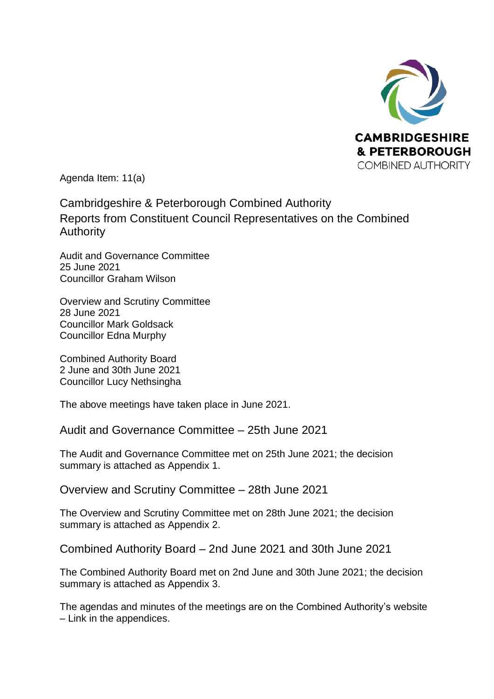

Agenda Item: 11(a)

Cambridgeshire & Peterborough Combined Authority Reports from Constituent Council Representatives on the Combined Authority

Audit and Governance Committee 25 June 2021 Councillor Graham Wilson

Overview and Scrutiny Committee 28 June 2021 Councillor Mark Goldsack Councillor Edna Murphy

Combined Authority Board 2 June and 30th June 2021 Councillor Lucy Nethsingha

The above meetings have taken place in June 2021.

Audit and Governance Committee – 25th June 2021

The Audit and Governance Committee met on 25th June 2021; the decision summary is attached as Appendix 1.

Overview and Scrutiny Committee – 28th June 2021

The Overview and Scrutiny Committee met on 28th June 2021; the decision summary is attached as Appendix 2.

Combined Authority Board – 2nd June 2021 and 30th June 2021

The Combined Authority Board met on 2nd June and 30th June 2021; the decision summary is attached as Appendix 3.

The agendas and minutes of the meetings are on the Combined Authority's website – Link in the appendices.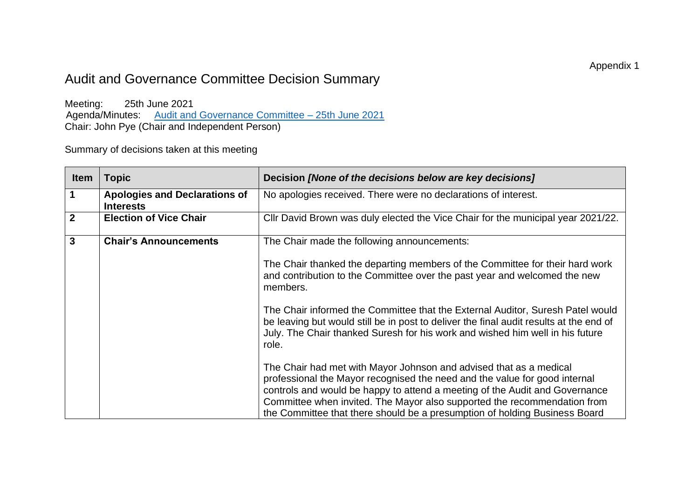## Audit and Governance Committee Decision Summary

Meeting: 25th June 2021 Agenda/Minutes: Audit and Governance Committee - 25th June 2021 Chair: John Pye (Chair and Independent Person)

Summary of decisions taken at this meeting

| <b>Item</b>  | Topic                                                    | Decision [None of the decisions below are key decisions]                                                                                                                                                                                                                                                                                                                                  |
|--------------|----------------------------------------------------------|-------------------------------------------------------------------------------------------------------------------------------------------------------------------------------------------------------------------------------------------------------------------------------------------------------------------------------------------------------------------------------------------|
| 1            | <b>Apologies and Declarations of</b><br><b>Interests</b> | No apologies received. There were no declarations of interest.                                                                                                                                                                                                                                                                                                                            |
| $\mathbf{2}$ | <b>Election of Vice Chair</b>                            | Cllr David Brown was duly elected the Vice Chair for the municipal year 2021/22.                                                                                                                                                                                                                                                                                                          |
| $\mathbf{3}$ | <b>Chair's Announcements</b>                             | The Chair made the following announcements:                                                                                                                                                                                                                                                                                                                                               |
|              |                                                          | The Chair thanked the departing members of the Committee for their hard work<br>and contribution to the Committee over the past year and welcomed the new<br>members.                                                                                                                                                                                                                     |
|              |                                                          | The Chair informed the Committee that the External Auditor, Suresh Patel would<br>be leaving but would still be in post to deliver the final audit results at the end of<br>July. The Chair thanked Suresh for his work and wished him well in his future<br>role.                                                                                                                        |
|              |                                                          | The Chair had met with Mayor Johnson and advised that as a medical<br>professional the Mayor recognised the need and the value for good internal<br>controls and would be happy to attend a meeting of the Audit and Governance<br>Committee when invited. The Mayor also supported the recommendation from<br>the Committee that there should be a presumption of holding Business Board |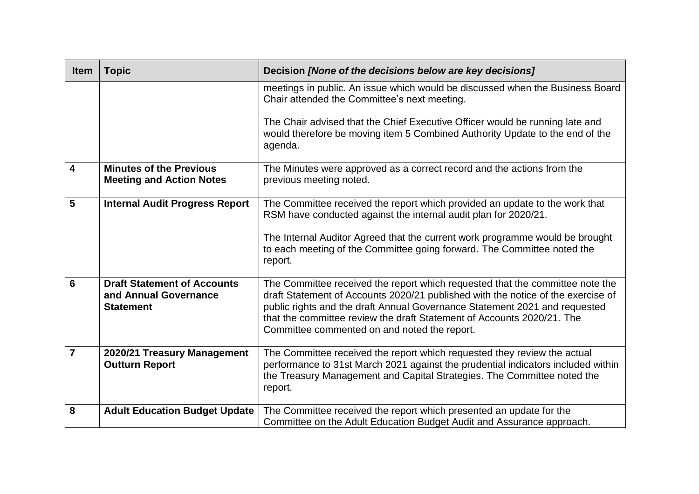| <b>Item</b>    | <b>Topic</b>                                                                    | Decision [None of the decisions below are key decisions]                                                                                                                                                                                                                                                                                                                  |
|----------------|---------------------------------------------------------------------------------|---------------------------------------------------------------------------------------------------------------------------------------------------------------------------------------------------------------------------------------------------------------------------------------------------------------------------------------------------------------------------|
|                |                                                                                 | meetings in public. An issue which would be discussed when the Business Board<br>Chair attended the Committee's next meeting.                                                                                                                                                                                                                                             |
|                |                                                                                 | The Chair advised that the Chief Executive Officer would be running late and<br>would therefore be moving item 5 Combined Authority Update to the end of the<br>agenda.                                                                                                                                                                                                   |
| 4              | <b>Minutes of the Previous</b><br><b>Meeting and Action Notes</b>               | The Minutes were approved as a correct record and the actions from the<br>previous meeting noted.                                                                                                                                                                                                                                                                         |
| 5              | <b>Internal Audit Progress Report</b>                                           | The Committee received the report which provided an update to the work that<br>RSM have conducted against the internal audit plan for 2020/21.<br>The Internal Auditor Agreed that the current work programme would be brought<br>to each meeting of the Committee going forward. The Committee noted the                                                                 |
|                |                                                                                 | report.                                                                                                                                                                                                                                                                                                                                                                   |
| 6              | <b>Draft Statement of Accounts</b><br>and Annual Governance<br><b>Statement</b> | The Committee received the report which requested that the committee note the<br>draft Statement of Accounts 2020/21 published with the notice of the exercise of<br>public rights and the draft Annual Governance Statement 2021 and requested<br>that the committee review the draft Statement of Accounts 2020/21. The<br>Committee commented on and noted the report. |
| $\overline{7}$ | 2020/21 Treasury Management<br><b>Outturn Report</b>                            | The Committee received the report which requested they review the actual<br>performance to 31st March 2021 against the prudential indicators included within<br>the Treasury Management and Capital Strategies. The Committee noted the<br>report.                                                                                                                        |
| 8              | <b>Adult Education Budget Update</b>                                            | The Committee received the report which presented an update for the<br>Committee on the Adult Education Budget Audit and Assurance approach.                                                                                                                                                                                                                              |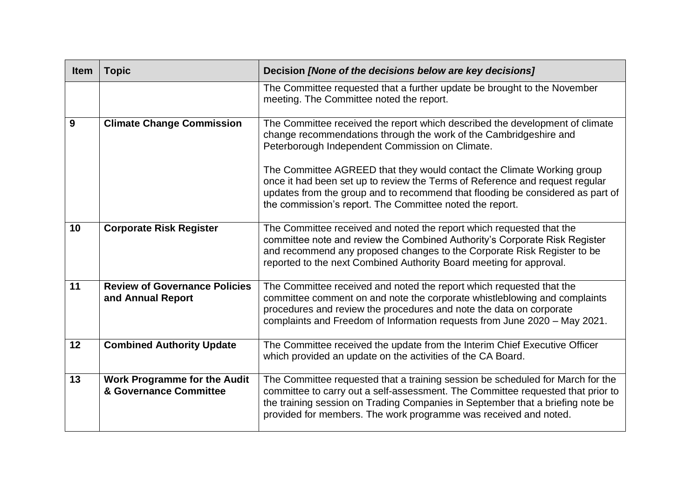| <b>Item</b> | <b>Topic</b>                                                  | Decision [None of the decisions below are key decisions]                                                                                                                                                                                                                                                                |
|-------------|---------------------------------------------------------------|-------------------------------------------------------------------------------------------------------------------------------------------------------------------------------------------------------------------------------------------------------------------------------------------------------------------------|
|             |                                                               | The Committee requested that a further update be brought to the November<br>meeting. The Committee noted the report.                                                                                                                                                                                                    |
| 9           | <b>Climate Change Commission</b>                              | The Committee received the report which described the development of climate<br>change recommendations through the work of the Cambridgeshire and<br>Peterborough Independent Commission on Climate.                                                                                                                    |
|             |                                                               | The Committee AGREED that they would contact the Climate Working group<br>once it had been set up to review the Terms of Reference and request regular<br>updates from the group and to recommend that flooding be considered as part of<br>the commission's report. The Committee noted the report.                    |
| 10          | <b>Corporate Risk Register</b>                                | The Committee received and noted the report which requested that the<br>committee note and review the Combined Authority's Corporate Risk Register<br>and recommend any proposed changes to the Corporate Risk Register to be<br>reported to the next Combined Authority Board meeting for approval.                    |
| 11          | <b>Review of Governance Policies</b><br>and Annual Report     | The Committee received and noted the report which requested that the<br>committee comment on and note the corporate whistleblowing and complaints<br>procedures and review the procedures and note the data on corporate<br>complaints and Freedom of Information requests from June 2020 - May 2021.                   |
| 12          | <b>Combined Authority Update</b>                              | The Committee received the update from the Interim Chief Executive Officer<br>which provided an update on the activities of the CA Board.                                                                                                                                                                               |
| 13          | <b>Work Programme for the Audit</b><br>& Governance Committee | The Committee requested that a training session be scheduled for March for the<br>committee to carry out a self-assessment. The Committee requested that prior to<br>the training session on Trading Companies in September that a briefing note be<br>provided for members. The work programme was received and noted. |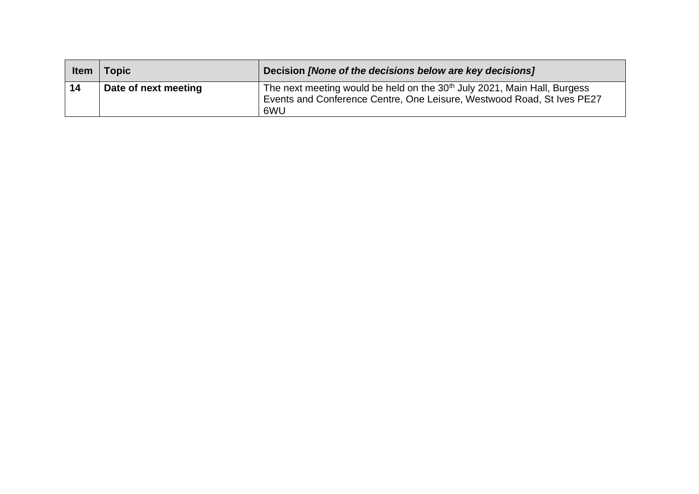| <b>Item</b> | <b>Topic</b>         | Decision [None of the decisions below are key decisions]                                                                                                              |
|-------------|----------------------|-----------------------------------------------------------------------------------------------------------------------------------------------------------------------|
| 14          | Date of next meeting | The next meeting would be held on the 30 <sup>th</sup> July 2021, Main Hall, Burgess<br>Events and Conference Centre, One Leisure, Westwood Road, St Ives PE27<br>6WU |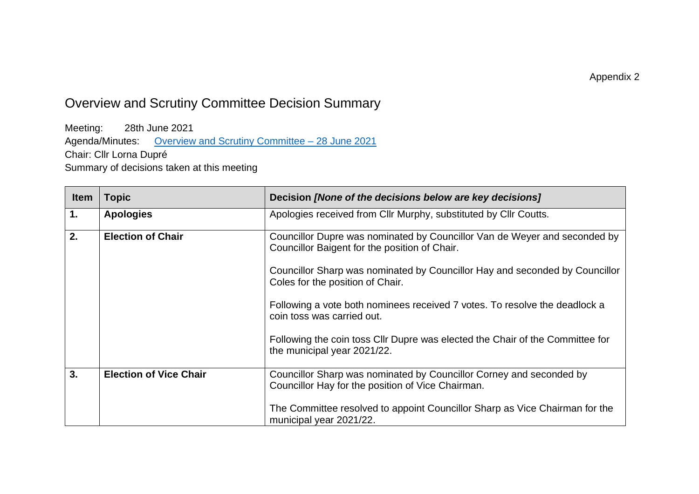# Overview and Scrutiny Committee Decision Summary

Meeting: 28th June 2021 Agenda/Minutes: [Overview and Scrutiny Committee –](https://cambridgeshirepeterboroughcagov.cmis.uk.com/Meetings/tabid/70/ctl/ViewMeetingPublic/mid/397/Meeting/2072/Committee/68/Default.aspx) 28 June 2021 Chair: Cllr Lorna Dupré Summary of decisions taken at this meeting

| <b>Item</b> | <b>Topic</b>                  | Decision [None of the decisions below are key decisions]                                                                   |
|-------------|-------------------------------|----------------------------------------------------------------------------------------------------------------------------|
| 1.          | <b>Apologies</b>              | Apologies received from Cllr Murphy, substituted by Cllr Coutts.                                                           |
| 2.          | <b>Election of Chair</b>      | Councillor Dupre was nominated by Councillor Van de Weyer and seconded by<br>Councillor Baigent for the position of Chair. |
|             |                               | Councillor Sharp was nominated by Councillor Hay and seconded by Councillor<br>Coles for the position of Chair.            |
|             |                               | Following a vote both nominees received 7 votes. To resolve the deadlock a<br>coin toss was carried out.                   |
|             |                               | Following the coin toss CIIr Dupre was elected the Chair of the Committee for<br>the municipal year 2021/22.               |
| 3.          | <b>Election of Vice Chair</b> | Councillor Sharp was nominated by Councillor Corney and seconded by<br>Councillor Hay for the position of Vice Chairman.   |
|             |                               | The Committee resolved to appoint Councillor Sharp as Vice Chairman for the<br>municipal year 2021/22.                     |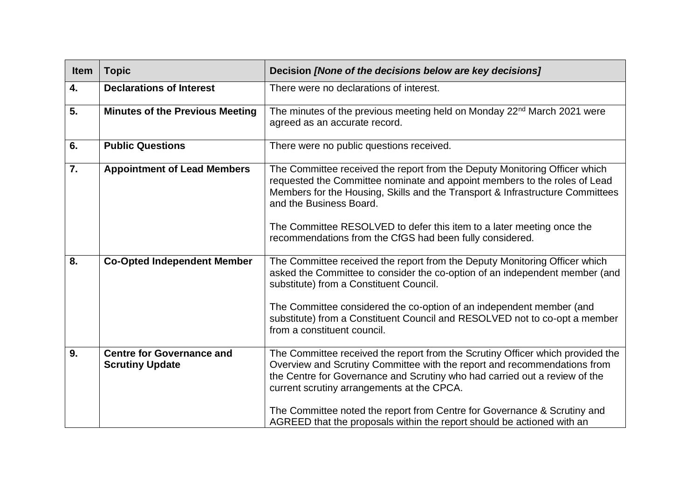| Item | <b>Topic</b>                                               | Decision [None of the decisions below are key decisions]                                                                                                                                                                                                                                                                                                                                                 |
|------|------------------------------------------------------------|----------------------------------------------------------------------------------------------------------------------------------------------------------------------------------------------------------------------------------------------------------------------------------------------------------------------------------------------------------------------------------------------------------|
| 4.   | <b>Declarations of Interest</b>                            | There were no declarations of interest.                                                                                                                                                                                                                                                                                                                                                                  |
| 5.   | <b>Minutes of the Previous Meeting</b>                     | The minutes of the previous meeting held on Monday 22 <sup>nd</sup> March 2021 were<br>agreed as an accurate record.                                                                                                                                                                                                                                                                                     |
| 6.   | <b>Public Questions</b>                                    | There were no public questions received.                                                                                                                                                                                                                                                                                                                                                                 |
| 7.   | <b>Appointment of Lead Members</b>                         | The Committee received the report from the Deputy Monitoring Officer which<br>requested the Committee nominate and appoint members to the roles of Lead<br>Members for the Housing, Skills and the Transport & Infrastructure Committees<br>and the Business Board.<br>The Committee RESOLVED to defer this item to a later meeting once the<br>recommendations from the CfGS had been fully considered. |
|      |                                                            |                                                                                                                                                                                                                                                                                                                                                                                                          |
| 8.   | <b>Co-Opted Independent Member</b>                         | The Committee received the report from the Deputy Monitoring Officer which<br>asked the Committee to consider the co-option of an independent member (and<br>substitute) from a Constituent Council.                                                                                                                                                                                                     |
|      |                                                            | The Committee considered the co-option of an independent member (and<br>substitute) from a Constituent Council and RESOLVED not to co-opt a member<br>from a constituent council.                                                                                                                                                                                                                        |
| 9.   | <b>Centre for Governance and</b><br><b>Scrutiny Update</b> | The Committee received the report from the Scrutiny Officer which provided the<br>Overview and Scrutiny Committee with the report and recommendations from<br>the Centre for Governance and Scrutiny who had carried out a review of the<br>current scrutiny arrangements at the CPCA.                                                                                                                   |
|      |                                                            | The Committee noted the report from Centre for Governance & Scrutiny and<br>AGREED that the proposals within the report should be actioned with an                                                                                                                                                                                                                                                       |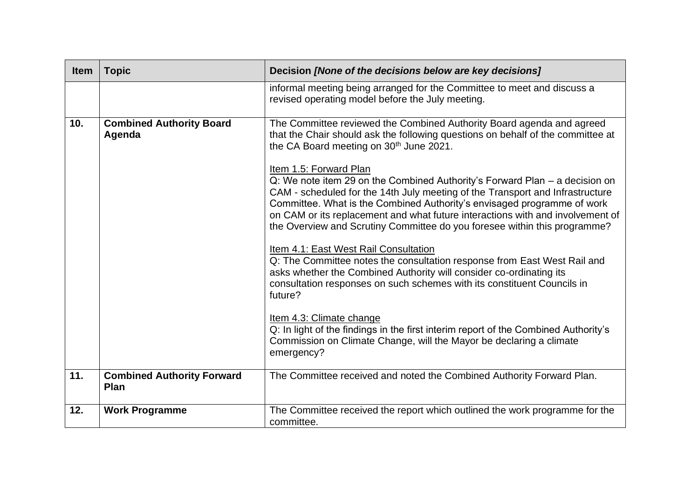| <b>Item</b> | <b>Topic</b>                                     | Decision [None of the decisions below are key decisions]                                                                                                                                                                                                                                                                                                                                                                         |
|-------------|--------------------------------------------------|----------------------------------------------------------------------------------------------------------------------------------------------------------------------------------------------------------------------------------------------------------------------------------------------------------------------------------------------------------------------------------------------------------------------------------|
|             |                                                  | informal meeting being arranged for the Committee to meet and discuss a<br>revised operating model before the July meeting.                                                                                                                                                                                                                                                                                                      |
| 10.         | <b>Combined Authority Board</b><br>Agenda        | The Committee reviewed the Combined Authority Board agenda and agreed<br>that the Chair should ask the following questions on behalf of the committee at<br>the CA Board meeting on 30 <sup>th</sup> June 2021.                                                                                                                                                                                                                  |
|             |                                                  | Item 1.5: Forward Plan<br>Q: We note item 29 on the Combined Authority's Forward Plan - a decision on<br>CAM - scheduled for the 14th July meeting of the Transport and Infrastructure<br>Committee. What is the Combined Authority's envisaged programme of work<br>on CAM or its replacement and what future interactions with and involvement of<br>the Overview and Scrutiny Committee do you foresee within this programme? |
|             |                                                  | Item 4.1: East West Rail Consultation<br>Q: The Committee notes the consultation response from East West Rail and<br>asks whether the Combined Authority will consider co-ordinating its<br>consultation responses on such schemes with its constituent Councils in<br>future?                                                                                                                                                   |
|             |                                                  | Item 4.3: Climate change<br>Q: In light of the findings in the first interim report of the Combined Authority's<br>Commission on Climate Change, will the Mayor be declaring a climate<br>emergency?                                                                                                                                                                                                                             |
| 11.         | <b>Combined Authority Forward</b><br><b>Plan</b> | The Committee received and noted the Combined Authority Forward Plan.                                                                                                                                                                                                                                                                                                                                                            |
| 12.         | <b>Work Programme</b>                            | The Committee received the report which outlined the work programme for the<br>committee.                                                                                                                                                                                                                                                                                                                                        |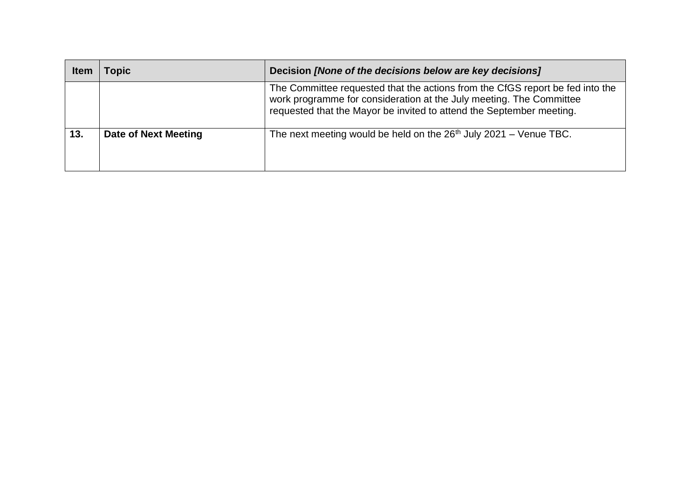| <b>Item</b> | <b>Topic</b>         | Decision [None of the decisions below are key decisions]                                                                                                                                                                     |
|-------------|----------------------|------------------------------------------------------------------------------------------------------------------------------------------------------------------------------------------------------------------------------|
|             |                      | The Committee requested that the actions from the CfGS report be fed into the<br>work programme for consideration at the July meeting. The Committee<br>requested that the Mayor be invited to attend the September meeting. |
| 13.         | Date of Next Meeting | The next meeting would be held on the $26th$ July 2021 – Venue TBC.                                                                                                                                                          |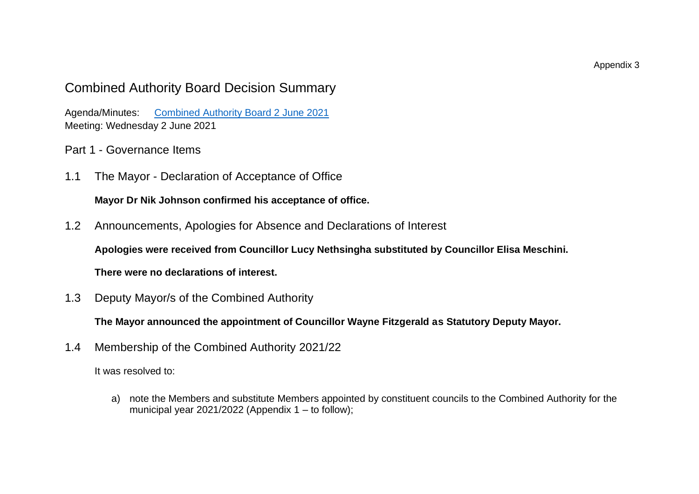## Combined Authority Board Decision Summary

Agenda/Minutes: [Combined Authority Board 2 June 2021](https://cambridgeshirepeterboroughcagov.cmis.uk.com/Meetings/tabid/70/ctl/ViewMeetingPublic/mid/397/Meeting/2032/Committee/63/Default.aspx) Meeting: Wednesday 2 June 2021

- Part 1 Governance Items
- 1.1 The Mayor Declaration of Acceptance of Office

**Mayor Dr Nik Johnson confirmed his acceptance of office.**

1.2 Announcements, Apologies for Absence and Declarations of Interest

**Apologies were received from Councillor Lucy Nethsingha substituted by Councillor Elisa Meschini.**

**There were no declarations of interest.** 

1.3 Deputy Mayor/s of the Combined Authority

**The Mayor announced the appointment of Councillor Wayne Fitzgerald as Statutory Deputy Mayor.**

1.4 Membership of the Combined Authority 2021/22

It was resolved to:

a) note the Members and substitute Members appointed by constituent councils to the Combined Authority for the municipal year  $2021/2022$  (Appendix 1 – to follow);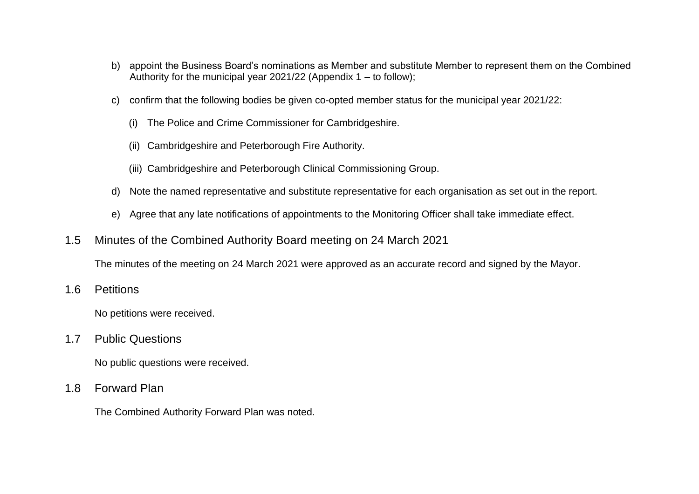- b) appoint the Business Board's nominations as Member and substitute Member to represent them on the Combined Authority for the municipal year 2021/22 (Appendix  $1 -$  to follow);
- c) confirm that the following bodies be given co-opted member status for the municipal year 2021/22:
	- (i) The Police and Crime Commissioner for Cambridgeshire.
	- (ii) Cambridgeshire and Peterborough Fire Authority.
	- (iii) Cambridgeshire and Peterborough Clinical Commissioning Group.
- d) Note the named representative and substitute representative for each organisation as set out in the report.
- e) Agree that any late notifications of appointments to the Monitoring Officer shall take immediate effect.
- 1.5 Minutes of the Combined Authority Board meeting on 24 March 2021

The minutes of the meeting on 24 March 2021 were approved as an accurate record and signed by the Mayor.

1.6 Petitions

No petitions were received.

1.7 Public Questions

No public questions were received.

1.8 Forward Plan

The Combined Authority Forward Plan was noted.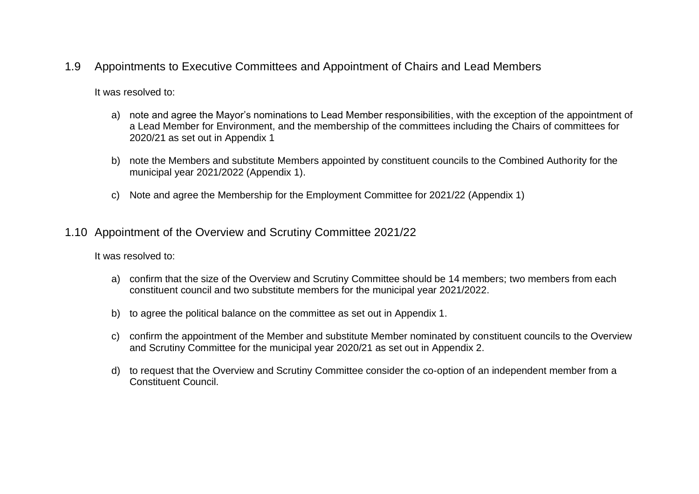1.9 Appointments to Executive Committees and Appointment of Chairs and Lead Members

It was resolved to:

- a) note and agree the Mayor's nominations to Lead Member responsibilities, with the exception of the appointment of a Lead Member for Environment, and the membership of the committees including the Chairs of committees for 2020/21 as set out in Appendix 1
- b) note the Members and substitute Members appointed by constituent councils to the Combined Authority for the municipal year 2021/2022 (Appendix 1).
- c) Note and agree the Membership for the Employment Committee for 2021/22 (Appendix 1)
- 1.10 Appointment of the Overview and Scrutiny Committee 2021/22

- a) confirm that the size of the Overview and Scrutiny Committee should be 14 members; two members from each constituent council and two substitute members for the municipal year 2021/2022.
- b) to agree the political balance on the committee as set out in Appendix 1.
- c) confirm the appointment of the Member and substitute Member nominated by constituent councils to the Overview and Scrutiny Committee for the municipal year 2020/21 as set out in Appendix 2.
- d) to request that the Overview and Scrutiny Committee consider the co-option of an independent member from a Constituent Council.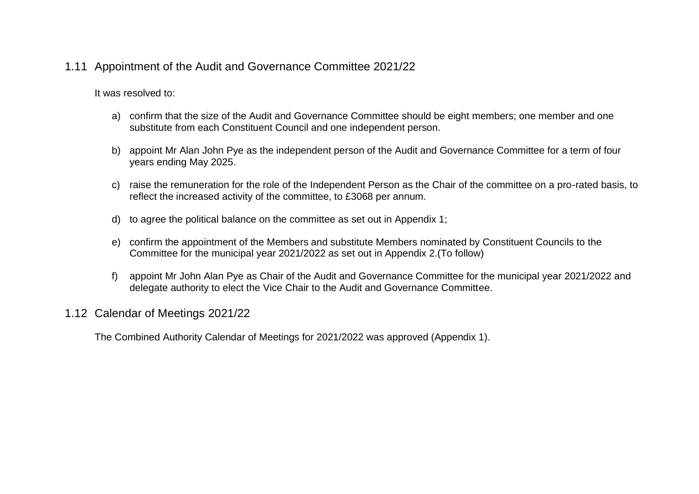### 1.11 Appointment of the Audit and Governance Committee 2021/22

It was resolved to:

- a) confirm that the size of the Audit and Governance Committee should be eight members; one member and one substitute from each Constituent Council and one independent person.
- b) appoint Mr Alan John Pye as the independent person of the Audit and Governance Committee for a term of four years ending May 2025.
- c) raise the remuneration for the role of the Independent Person as the Chair of the committee on a pro-rated basis, to reflect the increased activity of the committee, to £3068 per annum.
- d) to agree the political balance on the committee as set out in Appendix 1;
- e) confirm the appointment of the Members and substitute Members nominated by Constituent Councils to the Committee for the municipal year 2021/2022 as set out in Appendix 2.(To follow)
- f) appoint Mr John Alan Pye as Chair of the Audit and Governance Committee for the municipal year 2021/2022 and delegate authority to elect the Vice Chair to the Audit and Governance Committee.

#### 1.12 Calendar of Meetings 2021/22

The Combined Authority Calendar of Meetings for 2021/2022 was approved (Appendix 1).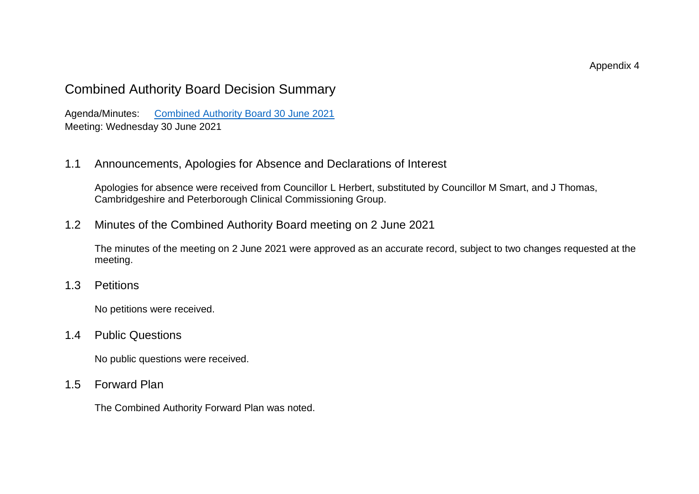Appendix 4

## Combined Authority Board Decision Summary

Agenda/Minutes: [Combined Authority Board 30 June 2021](https://cambridgeshirepeterboroughcagov.cmis.uk.com/Meetings/tabid/70/ctl/ViewMeetingPublic/mid/397/Meeting/2033/Committee/63/Default.aspx) Meeting: Wednesday 30 June 2021

1.1 Announcements, Apologies for Absence and Declarations of Interest

Apologies for absence were received from Councillor L Herbert, substituted by Councillor M Smart, and J Thomas, Cambridgeshire and Peterborough Clinical Commissioning Group.

1.2 Minutes of the Combined Authority Board meeting on 2 June 2021

The minutes of the meeting on 2 June 2021 were approved as an accurate record, subject to two changes requested at the meeting.

1.3 Petitions

No petitions were received.

### 1.4 Public Questions

No public questions were received.

1.5 Forward Plan

The Combined Authority Forward Plan was noted.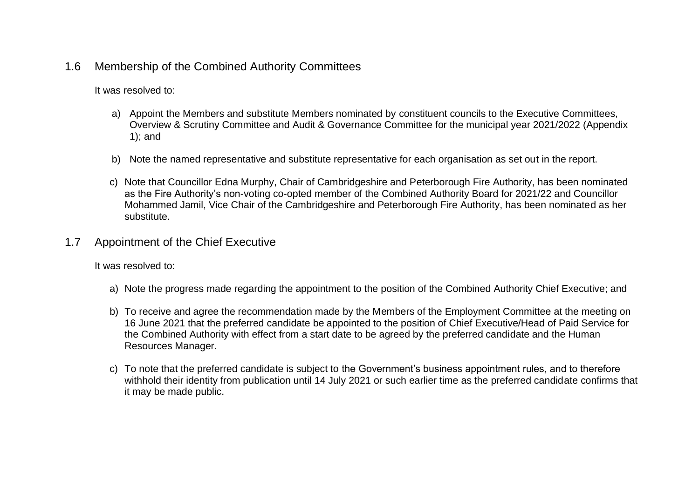### 1.6 Membership of the Combined Authority Committees

It was resolved to:

- a) Appoint the Members and substitute Members nominated by constituent councils to the Executive Committees, Overview & Scrutiny Committee and Audit & Governance Committee for the municipal year 2021/2022 (Appendix 1); and
- b) Note the named representative and substitute representative for each organisation as set out in the report.
- c) Note that Councillor Edna Murphy, Chair of Cambridgeshire and Peterborough Fire Authority, has been nominated as the Fire Authority's non-voting co-opted member of the Combined Authority Board for 2021/22 and Councillor Mohammed Jamil, Vice Chair of the Cambridgeshire and Peterborough Fire Authority, has been nominated as her substitute.
- 1.7 Appointment of the Chief Executive

- a) Note the progress made regarding the appointment to the position of the Combined Authority Chief Executive; and
- b) To receive and agree the recommendation made by the Members of the Employment Committee at the meeting on 16 June 2021 that the preferred candidate be appointed to the position of Chief Executive/Head of Paid Service for the Combined Authority with effect from a start date to be agreed by the preferred candidate and the Human Resources Manager.
- c) To note that the preferred candidate is subject to the Government's business appointment rules, and to therefore withhold their identity from publication until 14 July 2021 or such earlier time as the preferred candidate confirms that it may be made public.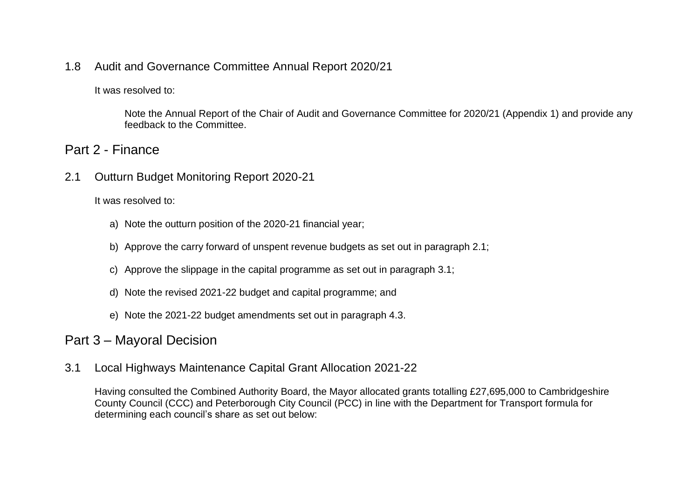### 1.8 Audit and Governance Committee Annual Report 2020/21

It was resolved to:

Note the Annual Report of the Chair of Audit and Governance Committee for 2020/21 (Appendix 1) and provide any feedback to the Committee.

### Part 2 - Finance

2.1 Outturn Budget Monitoring Report 2020-21

It was resolved to:

- a) Note the outturn position of the 2020-21 financial year;
- b) Approve the carry forward of unspent revenue budgets as set out in paragraph 2.1;
- c) Approve the slippage in the capital programme as set out in paragraph 3.1;
- d) Note the revised 2021-22 budget and capital programme; and
- e) Note the 2021-22 budget amendments set out in paragraph 4.3.

## Part 3 – Mayoral Decision

3.1 Local Highways Maintenance Capital Grant Allocation 2021-22

Having consulted the Combined Authority Board, the Mayor allocated grants totalling £27,695,000 to Cambridgeshire County Council (CCC) and Peterborough City Council (PCC) in line with the Department for Transport formula for determining each council's share as set out below: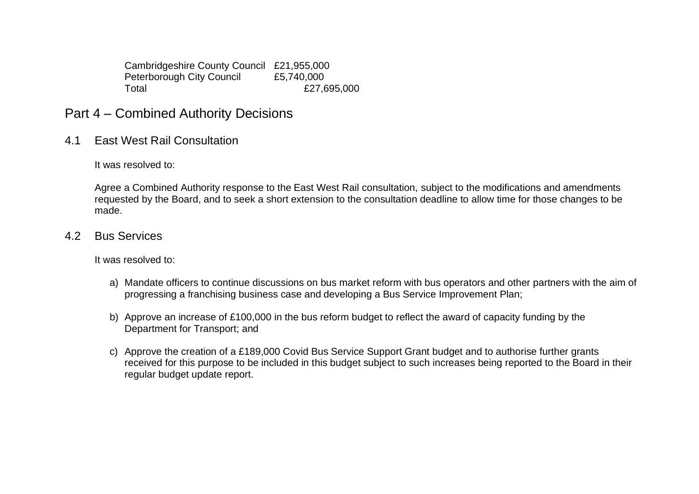Cambridgeshire County Council £21,955,000<br>Peterborough City Council £5.740.000 Peterborough City Council Total **E27,695,000** 

- Part 4 Combined Authority Decisions
- 4.1 East West Rail Consultation

It was resolved to:

Agree a Combined Authority response to the East West Rail consultation, subject to the modifications and amendments requested by the Board, and to seek a short extension to the consultation deadline to allow time for those changes to be made.

4.2 Bus Services

- a) Mandate officers to continue discussions on bus market reform with bus operators and other partners with the aim of progressing a franchising business case and developing a Bus Service Improvement Plan;
- b) Approve an increase of £100,000 in the bus reform budget to reflect the award of capacity funding by the Department for Transport; and
- c) Approve the creation of a £189,000 Covid Bus Service Support Grant budget and to authorise further grants received for this purpose to be included in this budget subject to such increases being reported to the Board in their regular budget update report.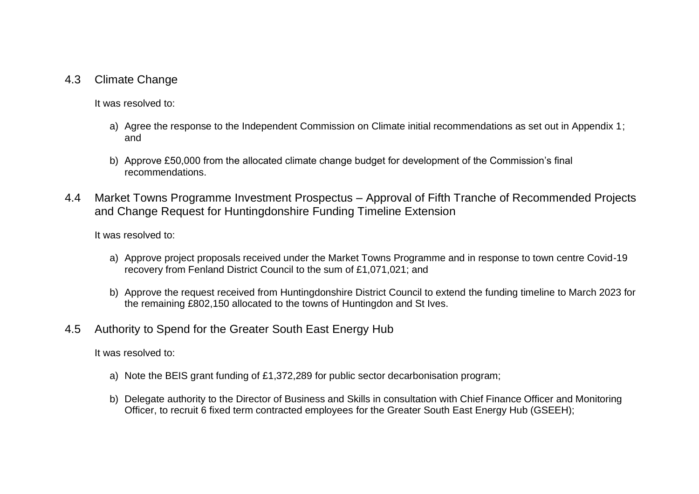#### 4.3 Climate Change

It was resolved to:

- a) Agree the response to the Independent Commission on Climate initial recommendations as set out in Appendix 1; and
- b) Approve £50,000 from the allocated climate change budget for development of the Commission's final recommendations.
- 4.4 Market Towns Programme Investment Prospectus Approval of Fifth Tranche of Recommended Projects and Change Request for Huntingdonshire Funding Timeline Extension

It was resolved to:

- a) Approve project proposals received under the Market Towns Programme and in response to town centre Covid-19 recovery from Fenland District Council to the sum of £1,071,021; and
- b) Approve the request received from Huntingdonshire District Council to extend the funding timeline to March 2023 for the remaining £802,150 allocated to the towns of Huntingdon and St Ives.

### 4.5 Authority to Spend for the Greater South East Energy Hub

- a) Note the BEIS grant funding of £1,372,289 for public sector decarbonisation program;
- b) Delegate authority to the Director of Business and Skills in consultation with Chief Finance Officer and Monitoring Officer, to recruit 6 fixed term contracted employees for the Greater South East Energy Hub (GSEEH);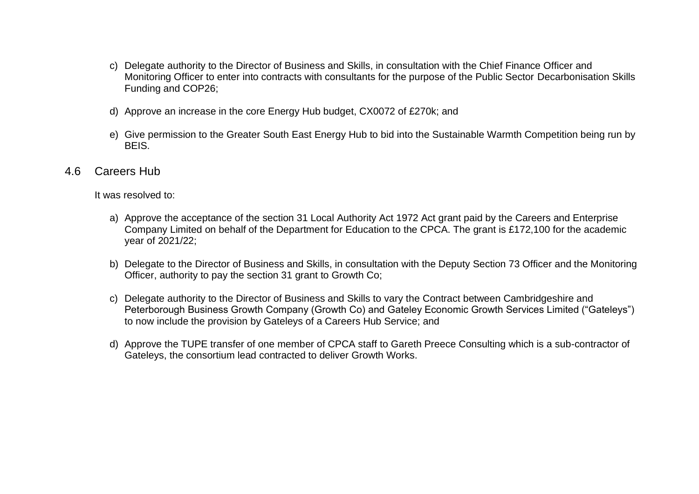- c) Delegate authority to the Director of Business and Skills, in consultation with the Chief Finance Officer and Monitoring Officer to enter into contracts with consultants for the purpose of the Public Sector Decarbonisation Skills Funding and COP26;
- d) Approve an increase in the core Energy Hub budget, CX0072 of £270k; and
- e) Give permission to the Greater South East Energy Hub to bid into the Sustainable Warmth Competition being run by BEIS.
- 4.6 Careers Hub

- a) Approve the acceptance of the section 31 Local Authority Act 1972 Act grant paid by the Careers and Enterprise Company Limited on behalf of the Department for Education to the CPCA. The grant is £172,100 for the academic year of 2021/22;
- b) Delegate to the Director of Business and Skills, in consultation with the Deputy Section 73 Officer and the Monitoring Officer, authority to pay the section 31 grant to Growth Co;
- c) Delegate authority to the Director of Business and Skills to vary the Contract between Cambridgeshire and Peterborough Business Growth Company (Growth Co) and Gateley Economic Growth Services Limited ("Gateleys") to now include the provision by Gateleys of a Careers Hub Service; and
- d) Approve the TUPE transfer of one member of CPCA staff to Gareth Preece Consulting which is a sub-contractor of Gateleys, the consortium lead contracted to deliver Growth Works.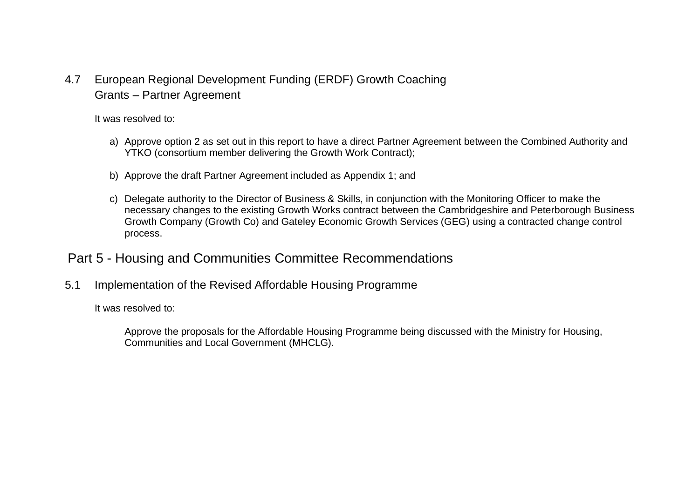4.7 European Regional Development Funding (ERDF) Growth Coaching Grants – Partner Agreement

It was resolved to:

- a) Approve option 2 as set out in this report to have a direct Partner Agreement between the Combined Authority and YTKO (consortium member delivering the Growth Work Contract);
- b) Approve the draft Partner Agreement included as Appendix 1; and
- c) Delegate authority to the Director of Business & Skills, in conjunction with the Monitoring Officer to make the necessary changes to the existing Growth Works contract between the Cambridgeshire and Peterborough Business Growth Company (Growth Co) and Gateley Economic Growth Services (GEG) using a contracted change control process.

## Part 5 - Housing and Communities Committee Recommendations

5.1 Implementation of the Revised Affordable Housing Programme

It was resolved to:

Approve the proposals for the Affordable Housing Programme being discussed with the Ministry for Housing, Communities and Local Government (MHCLG).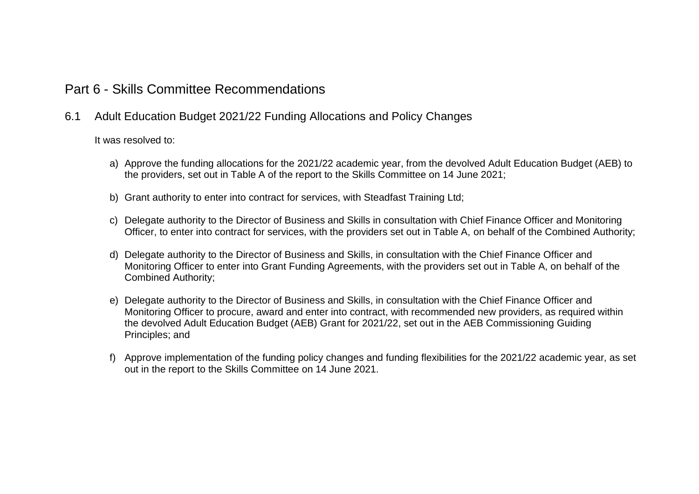### Part 6 - Skills Committee Recommendations

#### 6.1 Adult Education Budget 2021/22 Funding Allocations and Policy Changes

- a) Approve the funding allocations for the 2021/22 academic year, from the devolved Adult Education Budget (AEB) to the providers, set out in Table A of the report to the Skills Committee on 14 June 2021;
- b) Grant authority to enter into contract for services, with Steadfast Training Ltd;
- c) Delegate authority to the Director of Business and Skills in consultation with Chief Finance Officer and Monitoring Officer, to enter into contract for services, with the providers set out in Table A, on behalf of the Combined Authority;
- d) Delegate authority to the Director of Business and Skills, in consultation with the Chief Finance Officer and Monitoring Officer to enter into Grant Funding Agreements, with the providers set out in Table A, on behalf of the Combined Authority;
- e) Delegate authority to the Director of Business and Skills, in consultation with the Chief Finance Officer and Monitoring Officer to procure, award and enter into contract, with recommended new providers, as required within the devolved Adult Education Budget (AEB) Grant for 2021/22, set out in the AEB Commissioning Guiding Principles; and
- f) Approve implementation of the funding policy changes and funding flexibilities for the 2021/22 academic year, as set out in the report to the Skills Committee on 14 June 2021.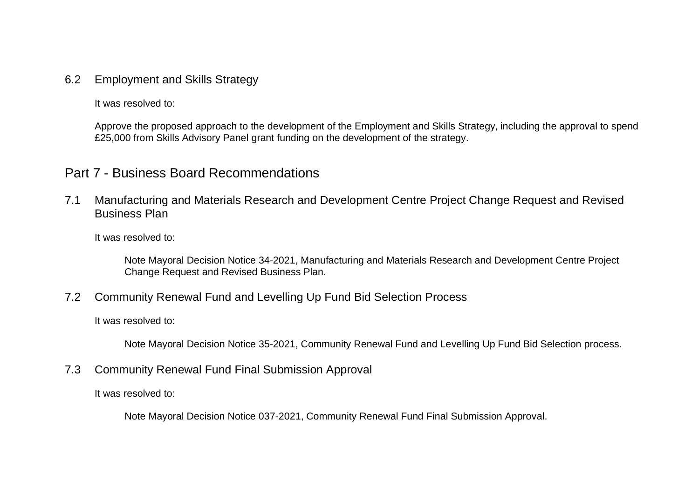### 6.2 Employment and Skills Strategy

It was resolved to:

Approve the proposed approach to the development of the Employment and Skills Strategy, including the approval to spend £25,000 from Skills Advisory Panel grant funding on the development of the strategy.

## Part 7 - Business Board Recommendations

7.1 Manufacturing and Materials Research and Development Centre Project Change Request and Revised Business Plan

It was resolved to:

Note Mayoral Decision Notice 34-2021, Manufacturing and Materials Research and Development Centre Project Change Request and Revised Business Plan.

### 7.2 Community Renewal Fund and Levelling Up Fund Bid Selection Process

It was resolved to:

Note Mayoral Decision Notice 35-2021, Community Renewal Fund and Levelling Up Fund Bid Selection process.

7.3 Community Renewal Fund Final Submission Approval

It was resolved to:

Note Mayoral Decision Notice 037-2021, Community Renewal Fund Final Submission Approval.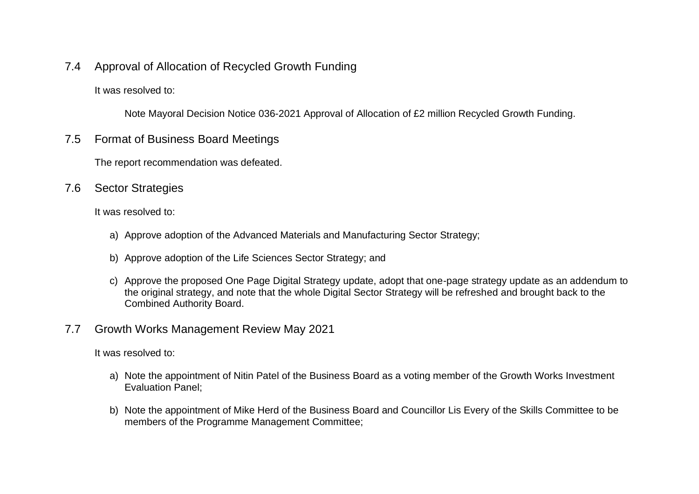7.4 Approval of Allocation of Recycled Growth Funding

It was resolved to:

Note Mayoral Decision Notice 036-2021 Approval of Allocation of £2 million Recycled Growth Funding.

7.5 Format of Business Board Meetings

The report recommendation was defeated.

7.6 Sector Strategies

It was resolved to:

- a) Approve adoption of the Advanced Materials and Manufacturing Sector Strategy;
- b) Approve adoption of the Life Sciences Sector Strategy; and
- c) Approve the proposed One Page Digital Strategy update, adopt that one-page strategy update as an addendum to the original strategy, and note that the whole Digital Sector Strategy will be refreshed and brought back to the Combined Authority Board.
- 7.7 Growth Works Management Review May 2021

- a) Note the appointment of Nitin Patel of the Business Board as a voting member of the Growth Works Investment Evaluation Panel;
- b) Note the appointment of Mike Herd of the Business Board and Councillor Lis Every of the Skills Committee to be members of the Programme Management Committee;